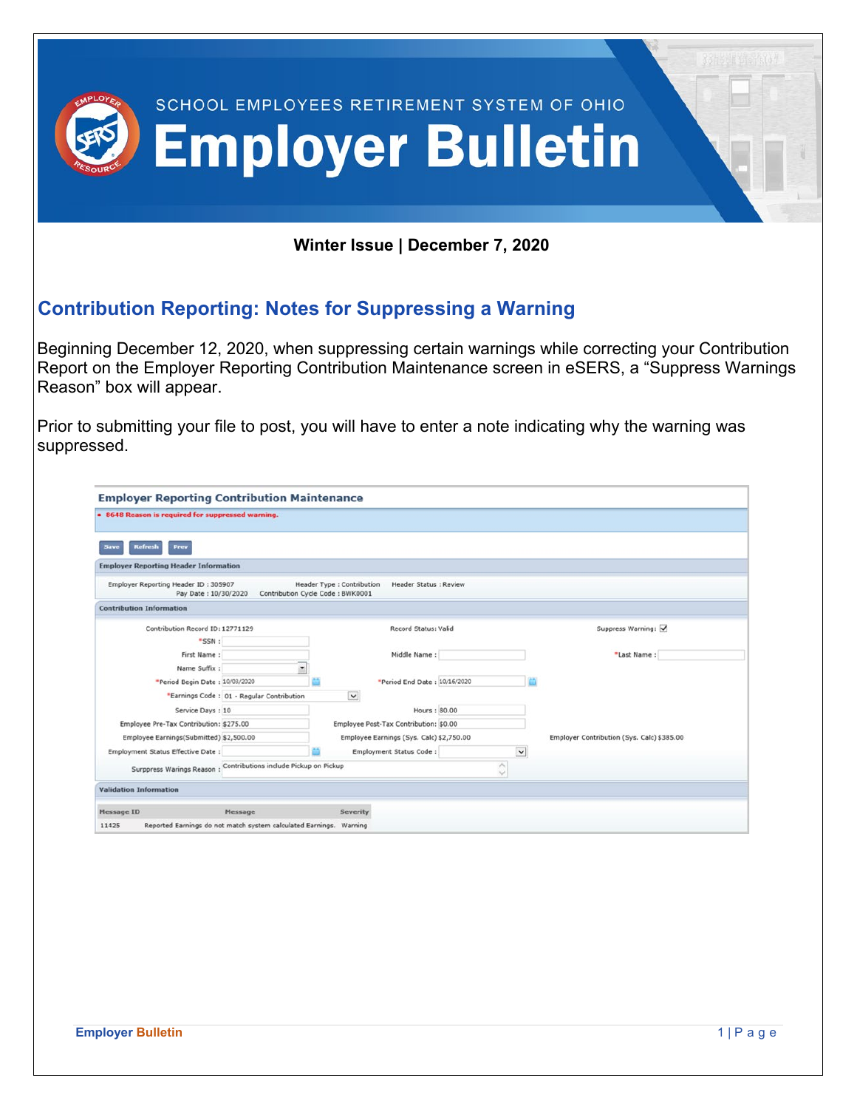|                                                                                                                                                    |                                                                               | <b>SCHOOL EMPLOYEES RETIREMENT SYSTEM OF OHIO</b><br><b>Employer Bulletin</b>                   |                          |                                                                                                                                                                                                         |  |
|----------------------------------------------------------------------------------------------------------------------------------------------------|-------------------------------------------------------------------------------|-------------------------------------------------------------------------------------------------|--------------------------|---------------------------------------------------------------------------------------------------------------------------------------------------------------------------------------------------------|--|
|                                                                                                                                                    |                                                                               | Winter Issue   December 7, 2020                                                                 |                          |                                                                                                                                                                                                         |  |
| <b>Contribution Reporting: Notes for Suppressing a Warning</b>                                                                                     |                                                                               |                                                                                                 |                          |                                                                                                                                                                                                         |  |
| Reason" box will appear.<br>suppressed.<br><b>Employer Reporting Contribution Maintenance</b><br>• 8648 Reason is required for suppressed warning. |                                                                               |                                                                                                 |                          | Report on the Employer Reporting Contribution Maintenance screen in eSERS, a "Suppress Warnings"<br>Prior to submitting your file to post, you will have to enter a note indicating why the warning was |  |
| Prev                                                                                                                                               |                                                                               |                                                                                                 |                          |                                                                                                                                                                                                         |  |
| <b>Employer Reporting Header Information</b>                                                                                                       |                                                                               |                                                                                                 |                          |                                                                                                                                                                                                         |  |
| Employer Reporting Header ID: 305907<br>Pay Date: 10/30/2020                                                                                       |                                                                               | <b>Header Status : Review</b><br>Header Type : Contribution<br>Contribution Cycle Code: BWK0001 |                          |                                                                                                                                                                                                         |  |
| <b>Contribution Information</b>                                                                                                                    |                                                                               |                                                                                                 |                          |                                                                                                                                                                                                         |  |
| Contribution Record ID: 12771129                                                                                                                   |                                                                               | Record Status: Valid                                                                            |                          | Suppress Warning: √                                                                                                                                                                                     |  |
|                                                                                                                                                    |                                                                               | Middle Name:                                                                                    |                          | "Last Name:                                                                                                                                                                                             |  |
| "SSN:                                                                                                                                              |                                                                               |                                                                                                 |                          |                                                                                                                                                                                                         |  |
| First Name:<br>Name Suffix:                                                                                                                        |                                                                               | *Period End Date: 10/16/2020                                                                    |                          |                                                                                                                                                                                                         |  |
| *Period Begin Date: 10/03/2020                                                                                                                     |                                                                               |                                                                                                 |                          |                                                                                                                                                                                                         |  |
|                                                                                                                                                    | "Earnings Code : 01 - Regular Contribution                                    | $\checkmark$                                                                                    |                          |                                                                                                                                                                                                         |  |
| Service Days: 10                                                                                                                                   |                                                                               | Hours: 80.00                                                                                    |                          |                                                                                                                                                                                                         |  |
| Employee Pre-Tax Contribution: \$275.00<br>Employee Earnings(Submitted) \$2,500.00                                                                 |                                                                               | Employee Post-Tax Contribution: \$0.00<br>Employee Earnings (Sys. Calc) \$2,750.00              |                          | Employer Contribution (Sys. Calc) \$385.00                                                                                                                                                              |  |
| Employment Status Effective Date:                                                                                                                  |                                                                               | Employment Status Code:                                                                         | $\checkmark$             |                                                                                                                                                                                                         |  |
| Surppress Warings Reason : Contributions include Pickup on Pickup                                                                                  |                                                                               |                                                                                                 | $\wedge$<br>$\checkmark$ |                                                                                                                                                                                                         |  |
| <b>Validation Information</b>                                                                                                                      |                                                                               |                                                                                                 |                          |                                                                                                                                                                                                         |  |
|                                                                                                                                                    |                                                                               |                                                                                                 |                          |                                                                                                                                                                                                         |  |
| Message ID<br>11425                                                                                                                                | Message<br>Reported Earnings do not match system calculated Earnings. Warning | Severity                                                                                        |                          |                                                                                                                                                                                                         |  |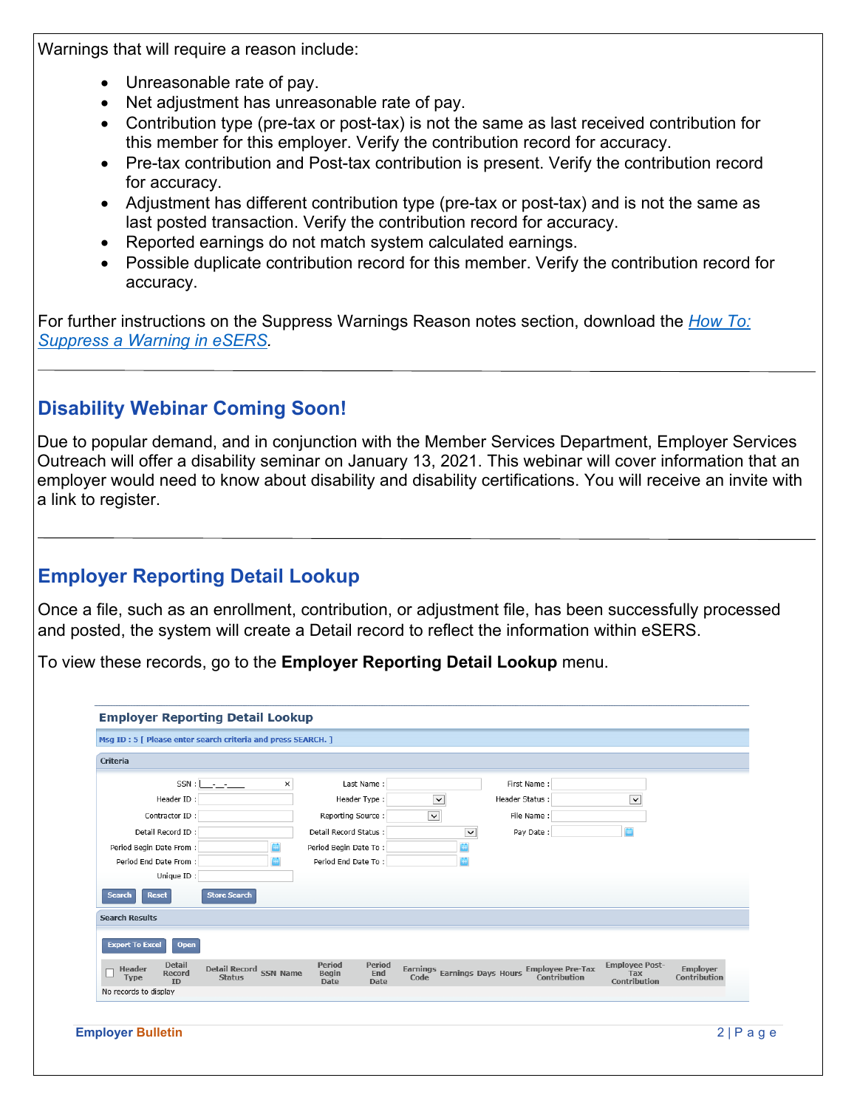Warnings that will require a reason include:

- Unreasonable rate of pay.
- Net adjustment has unreasonable rate of pay.
- Contribution type (pre-tax or post-tax) is not the same as last received contribution for this member for this employer. Verify the contribution record for accuracy.
- Pre-tax contribution and Post-tax contribution is present. Verify the contribution record for accuracy.
- Adjustment has different contribution type (pre-tax or post-tax) and is not the same as last posted transaction. Verify the contribution record for accuracy.
- Reported earnings do not match system calculated earnings.
- Possible duplicate contribution record for this member. Verify the contribution record for accuracy.

For further instructions on the Suppress Warnings Reason notes section, download the *[How To:](http://www.ohsers.org/wp-content/uploads/2020/12/EMP-7033-How-To-Suppress-a-Warning-in-eSERS.pdf)  Suppress a Warning [in eSERS.](http://www.ohsers.org/wp-content/uploads/2020/12/EMP-7033-How-To-Suppress-a-Warning-in-eSERS.pdf)*

# **Disability Webinar Coming Soon!**

Due to popular demand, and in conjunction with the Member Services Department, Employer Services Outreach will offer a disability seminar on January 13, 2021. This webinar will cover information that an employer would need to know about disability and disability certifications. You will receive an invite with a link to register.

# **Employer Reporting Detail Lookup**

Once a file, such as an enrollment, contribution, or adjustment file, has been successfully processed and posted, the system will create a Detail record to reflect the information within eSERS.

To view these records, go to the **Employer Reporting Detail Lookup** menu.

| Criteria                                                      |                                       |                 |                                       |                              |                                      |                |                                         |                                              |                                 |
|---------------------------------------------------------------|---------------------------------------|-----------------|---------------------------------------|------------------------------|--------------------------------------|----------------|-----------------------------------------|----------------------------------------------|---------------------------------|
|                                                               |                                       | ×               | Last Name:                            |                              |                                      |                | First Name:                             |                                              |                                 |
| Header ID:                                                    |                                       |                 | Header Type:                          |                              | $\checkmark$                         | Header Status: |                                         | $\check{~}$                                  |                                 |
| Contractor ID:                                                |                                       |                 | Reporting Source:                     |                              | $\checkmark$                         |                | File Name:                              |                                              |                                 |
| Detail Record ID:                                             |                                       |                 | Detail Record Status:                 |                              | $\check{~}$                          |                | Pay Date:                               |                                              |                                 |
| Period Begin Date From:                                       |                                       |                 | Period Begin Date To:                 |                              |                                      |                |                                         |                                              |                                 |
| Period End Date From:<br>Unique ID:                           |                                       |                 | Period End Date To:                   |                              |                                      |                |                                         |                                              |                                 |
| <b>Reset</b><br><b>Search</b><br><b>Search Results</b>        | <b>Store Search</b>                   |                 |                                       |                              |                                      |                |                                         |                                              |                                 |
| <b>Export To Excel</b>                                        | <b>Open</b>                           |                 |                                       |                              |                                      |                |                                         |                                              |                                 |
| <b>Detail</b><br><b>Header</b><br>Record<br>Type<br><b>ID</b> | <b>Detail Record</b><br><b>Status</b> | <b>SSN Name</b> | <b>Period</b><br>Begin<br><b>Date</b> | Period<br>End<br><b>Date</b> | Earnings Earnings Days Hours<br>Code |                | <b>Employee Pre-Tax</b><br>Contribution | <b>Employee Post-</b><br>Tax<br>Contribution | <b>Employer</b><br>Contribution |
| No records to display                                         |                                       |                 |                                       |                              |                                      |                |                                         |                                              |                                 |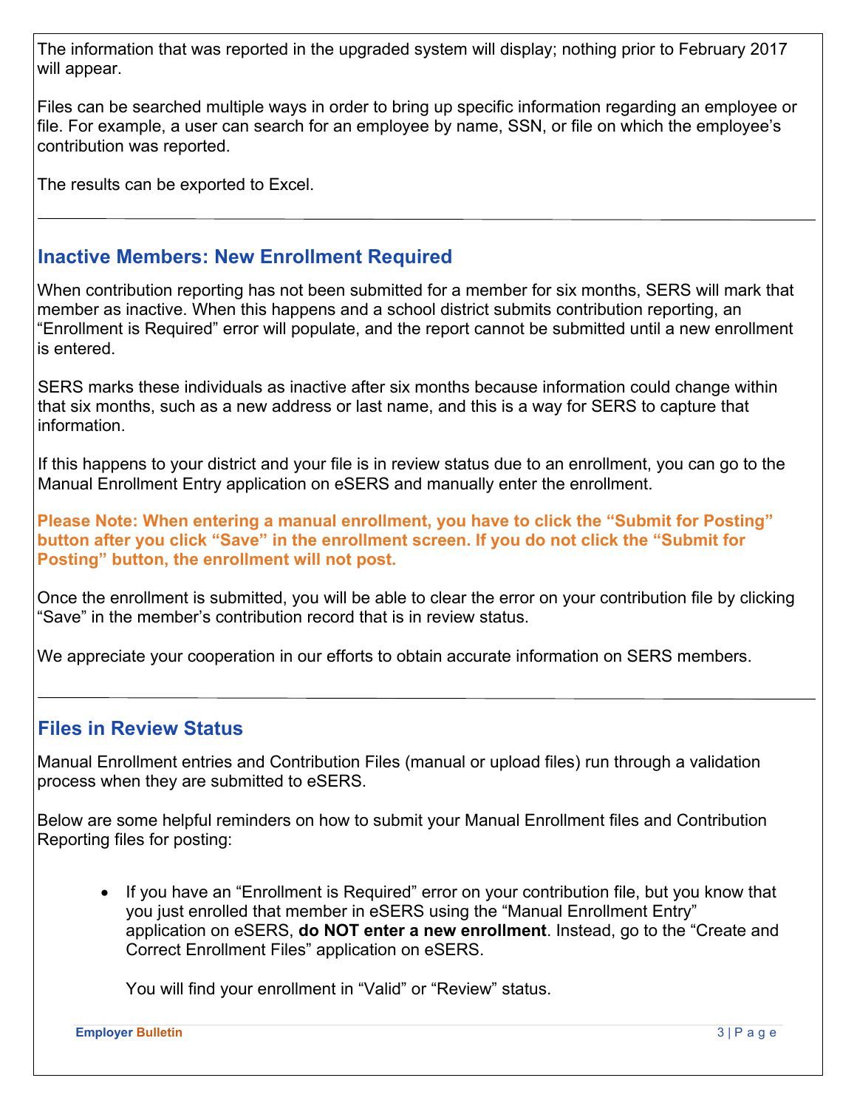The information that was reported in the upgraded system will display; nothing prior to February 2017 will appear.

Files can be searched multiple ways in order to bring up specific information regarding an employee or file. For example, a user can search for an employee by name, SSN, or file on which the employee's contribution was reported.

The results can be exported to Excel.

## **Inactive Members: New Enrollment Required**

When contribution reporting has not been submitted for a member for six months, SERS will mark that member as inactive. When this happens and a school district submits contribution reporting, an "Enrollment is Required" error will populate, and the report cannot be submitted until a new enrollment is entered.

SERS marks these individuals as inactive after six months because information could change within that six months, such as a new address or last name, and this is a way for SERS to capture that information.

If this happens to your district and your file is in review status due to an enrollment, you can go to the Manual Enrollment Entry application on eSERS and manually enter the enrollment.

**Please Note: When entering a manual enrollment, you have to click the "Submit for Posting" button after you click "Save" in the enrollment screen. If you do not click the "Submit for Posting" button, the enrollment will not post.**

Once the enrollment is submitted, you will be able to clear the error on your contribution file by clicking "Save" in the member's contribution record that is in review status.

We appreciate your cooperation in our efforts to obtain accurate information on SERS members.

### **Files in Review Status**

Manual Enrollment entries and Contribution Files (manual or upload files) run through a validation process when they are submitted to eSERS.

Below are some helpful reminders on how to submit your Manual Enrollment files and Contribution Reporting files for posting:

• If you have an "Enrollment is Required" error on your contribution file, but you know that you just enrolled that member in eSERS using the "Manual Enrollment Entry" application on eSERS, **do NOT enter a new enrollment**. Instead, go to the "Create and Correct Enrollment Files" application on eSERS.

You will find your enrollment in "Valid" or "Review" status.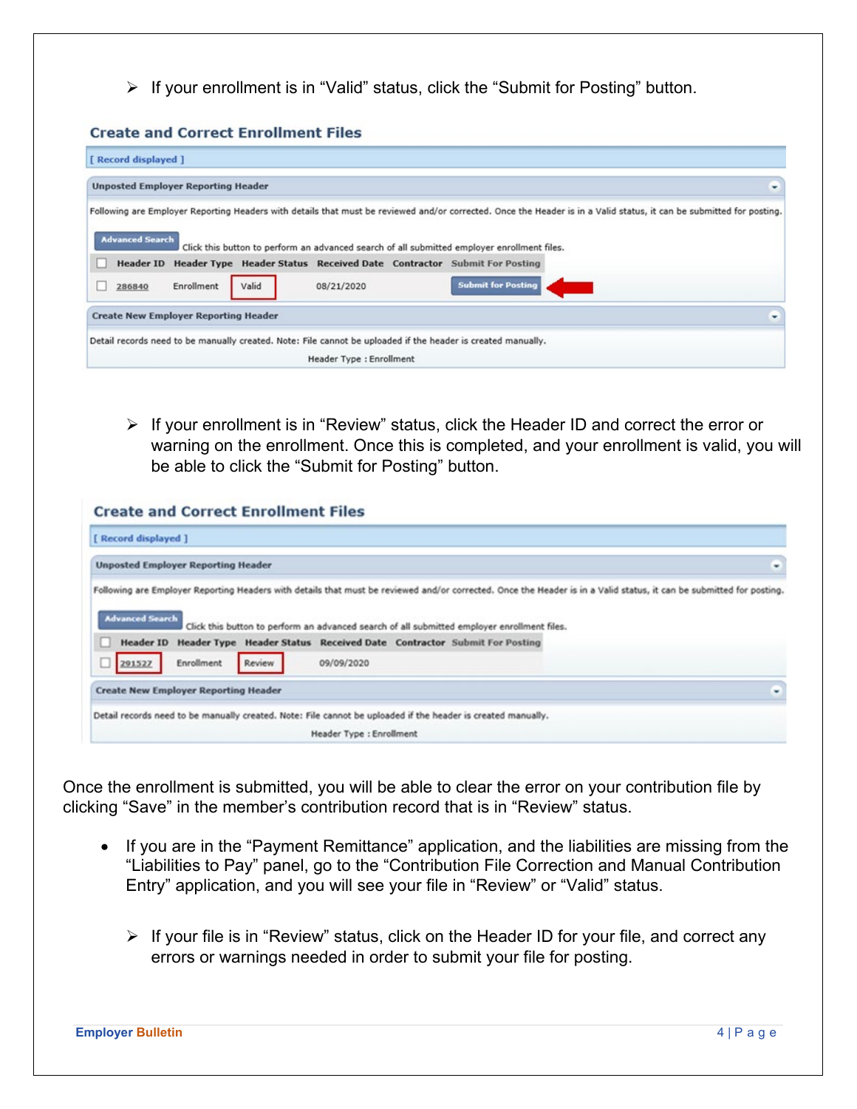$\triangleright$  If your enrollment is in "Valid" status, click the "Submit for Posting" button.

#### **Create and Correct Enrollment Files**

| [ Record displayed ]                        |            |       |                          |                                                                                                                                                                      |                                                                                                                                                                      |
|---------------------------------------------|------------|-------|--------------------------|----------------------------------------------------------------------------------------------------------------------------------------------------------------------|----------------------------------------------------------------------------------------------------------------------------------------------------------------------|
| <b>Unposted Employer Reporting Header</b>   |            |       |                          |                                                                                                                                                                      | ٠                                                                                                                                                                    |
| <b>Advanced Search</b>                      |            |       |                          |                                                                                                                                                                      | Following are Employer Reporting Headers with details that must be reviewed and/or corrected. Once the Header is in a Valid status, it can be submitted for posting. |
| <b>Header ID</b>                            |            |       |                          | Click this button to perform an advanced search of all submitted employer enrollment files.<br>Header Type Header Status Received Date Contractor Submit For Posting |                                                                                                                                                                      |
| 286840                                      | Enrollment | Valid | 08/21/2020               | <b>Submit for Posting</b>                                                                                                                                            |                                                                                                                                                                      |
| <b>Create New Employer Reporting Header</b> |            |       |                          |                                                                                                                                                                      | ٠                                                                                                                                                                    |
|                                             |            |       | Header Type : Enrollment | Detail records need to be manually created. Note: File cannot be uploaded if the header is created manually.                                                         |                                                                                                                                                                      |

 $\triangleright$  If your enrollment is in "Review" status, click the Header ID and correct the error or warning on the enrollment. Once this is completed, and your enrollment is valid, you will be able to click the "Submit for Posting" button.

| <b>Create and Correct Enrollment Files</b>                                                                                                                                                                                                                                                                                                                                                                                       |   |
|----------------------------------------------------------------------------------------------------------------------------------------------------------------------------------------------------------------------------------------------------------------------------------------------------------------------------------------------------------------------------------------------------------------------------------|---|
| [ Record displayed ]                                                                                                                                                                                                                                                                                                                                                                                                             |   |
| <b>Unposted Employer Reporting Header</b>                                                                                                                                                                                                                                                                                                                                                                                        | ٠ |
| Following are Employer Reporting Headers with details that must be reviewed and/or corrected. Once the Header is in a Valid status, it can be submitted for posting.<br><b>Advanced Search</b><br>Click this button to perform an advanced search of all submitted employer enrollment files.<br>Header ID Header Type Header Status Received Date Contractor Submit For Posting<br>Enrollment<br>09/09/2020<br>291527<br>Review |   |
| <b>Create New Employer Reporting Header</b>                                                                                                                                                                                                                                                                                                                                                                                      | ٠ |
| Detail records need to be manually created. Note: File cannot be uploaded if the header is created manually.                                                                                                                                                                                                                                                                                                                     |   |
| Header Type : Enrollment                                                                                                                                                                                                                                                                                                                                                                                                         |   |

Once the enrollment is submitted, you will be able to clear the error on your contribution file by clicking "Save" in the member's contribution record that is in "Review" status.

- If you are in the "Payment Remittance" application, and the liabilities are missing from the "Liabilities to Pay" panel, go to the "Contribution File Correction and Manual Contribution Entry" application, and you will see your file in "Review" or "Valid" status.
	- $\triangleright$  If your file is in "Review" status, click on the Header ID for your file, and correct any errors or warnings needed in order to submit your file for posting.